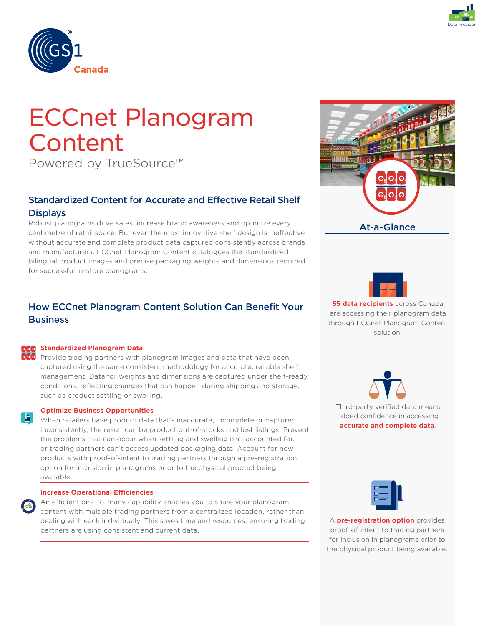



# ECCnet Planogram **Content**

Powered by TrueSource™

# Standardized Content for Accurate and Effective Retail Shelf **Displays**

Robust planograms drive sales, increase brand awareness and optimize every centimetre of retail space. But even the most innovative shelf design is ineffective without accurate and complete product data captured consistently across brands and manufacturers. ECCnet Planogram Content catalogues the standardized bilingual product images and precise packaging weights and dimensions required for successful in-store planograms.

# How ECCnet Planogram Content Solution Can Benefit Your **Business**

### **Standardized Planogram Data**

Provide trading partners with planogram images and data that have been captured using the same consistent methodology for accurate, reliable shelf management. Data for weights and dimensions are captured under shelf-ready conditions, reflecting changes that can happen during shipping and storage, such as product settling or swelling.

### **Optimize Business Opportunities**

凸

When retailers have product data that's inaccurate, incomplete or captured inconsistently, the result can be product out-of-stocks and lost listings. Prevent the problems that can occur when settling and swelling isn't accounted for, or trading partners can't access updated packaging data. Account for new products with proof-of-intent to trading partners through a pre-registration option for inclusion in planograms prior to the physical product being available.

#### **Increase Operational Efficiencies**

An efficient one-to-many capability enables you to share your planogram content with multiple trading partners from a centralized location, rather than dealing with each individually. This saves time and resources, ensuring trading partners are using consistent and current data.





**55 data recipients** across Canada are accessing their planogram data through ECCnet Planogram Content solution.

Third-party verified data means added confidence in accessing **accurate and complete data**.

A **pre-registration option** provides proof-of-intent to trading partners for inclusion in planograms prior to the physical product being available.